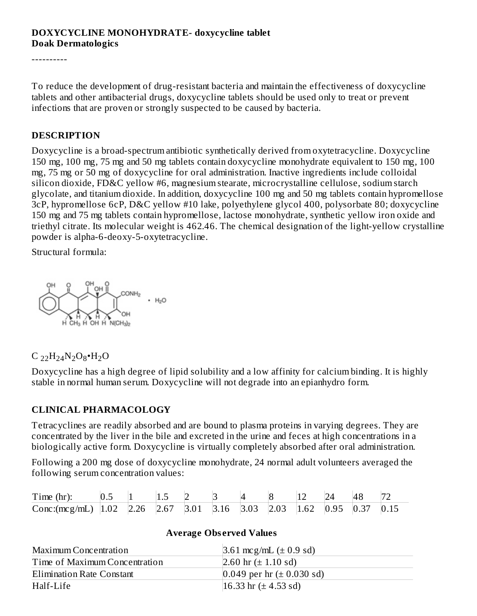### **DOXYCYCLINE MONOHYDRATE- doxycycline tablet Doak Dermatologics**

----------

To reduce the development of drug-resistant bacteria and maintain the effectiveness of doxycycline tablets and other antibacterial drugs, doxycycline tablets should be used only to treat or prevent infections that are proven or strongly suspected to be caused by bacteria.

#### **DESCRIPTION**

Doxycycline is a broad-spectrum antibiotic synthetically derived from oxytetracycline. Doxycycline 150 mg, 100 mg, 75 mg and 50 mg tablets contain doxycycline monohydrate equivalent to 150 mg, 100 mg, 75 mg or 50 mg of doxycycline for oral administration. Inactive ingredients include colloidal silicon dioxide, FD&C yellow #6, magnesium stearate, microcrystalline cellulose, sodium starch glycolate, and titanium dioxide. In addition, doxycycline 100 mg and 50 mg tablets contain hypromellose 3cP, hypromellose 6cP, D&C yellow #10 lake, polyethylene glycol 400, polysorbate 80; doxycycline 150 mg and 75 mg tablets contain hypromellose, lactose monohydrate, synthetic yellow iron oxide and triethyl citrate. Its molecular weight is 462.46. The chemical designation of the light-yellow crystalline powder is alpha-6-deoxy-5-oxytetracycline.

Structural formula:



# $C_{22}H_{24}N_{2}O_{8} \cdot H_{2}O$

Doxycycline has a high degree of lipid solubility and a low affinity for calcium binding. It is highly stable in normal human serum. Doxycycline will not degrade into an epianhydro form.

### **CLINICAL PHARMACOLOGY**

Tetracyclines are readily absorbed and are bound to plasma proteins in varying degrees. They are concentrated by the liver in the bile and excreted in the urine and feces at high concentrations in a biologically active form. Doxycycline is virtually completely absorbed after oral administration.

Following a 200 mg dose of doxycycline monohydrate, 24 normal adult volunteers averaged the following serum concentration values:

| Time (hr):                                                                                             |  |  |  |  |  |      |
|--------------------------------------------------------------------------------------------------------|--|--|--|--|--|------|
| Conc:(mcg/mL) $ 1.02 \t  2.26 \t  2.67 \t  3.01 \t  3.16 \t  3.03 \t  2.03 \t  1.62 \t  0.95 \t  0.37$ |  |  |  |  |  | 0.15 |

| Maximum Concentration            | $3.61 \text{ mcg/mL}$ (± 0.9 sd)        |
|----------------------------------|-----------------------------------------|
| Time of Maximum Concentration    | $2.60 \text{ hr} (\pm 1.10 \text{ sd})$ |
| <b>Elimination Rate Constant</b> | 0.049 per hr $(\pm 0.030 \text{ sd})$   |
| Half-Life                        | $16.33$ hr ( $\pm$ 4.53 sd)             |

### **Average Obs erved Values**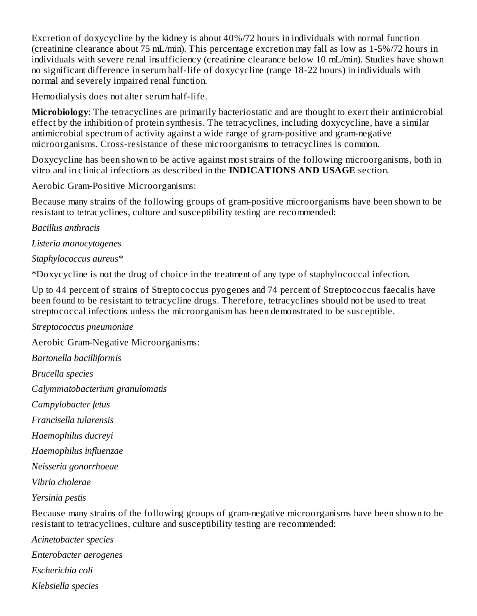Excretion of doxycycline by the kidney is about 40%/72 hours in individuals with normal function (creatinine clearance about 75 mL/min). This percentage excretion may fall as low as 1-5%/72 hours in individuals with severe renal insufficiency (creatinine clearance below 10 mL/min). Studies have shown no significant difference in serum half-life of doxycycline (range 18-22 hours) in individuals with normal and severely impaired renal function.

Hemodialysis does not alter serum half-life.

**Microbiology**: The tetracyclines are primarily bacteriostatic and are thought to exert their antimicrobial effect by the inhibition of protein synthesis. The tetracyclines, including doxycycline, have a similar antimicrobial spectrum of activity against a wide range of gram-positive and gram-negative microorganisms. Cross-resistance of these microorganisms to tetracyclines is common.

Doxycycline has been shown to be active against most strains of the following microorganisms, both in vitro and in clinical infections as described in the **INDICATIONS AND USAGE** section.

Aerobic Gram-Positive Microorganisms:

Because many strains of the following groups of gram-positive microorganisms have been shown to be resistant to tetracyclines, culture and susceptibility testing are recommended:

*Bacillus anthracis*

*Listeria monocytogenes*

*Staphylococcus aureus\**

\*Doxycycline is not the drug of choice in the treatment of any type of staphylococcal infection.

Up to 44 percent of strains of Streptococcus pyogenes and 74 percent of Streptococcus faecalis have been found to be resistant to tetracycline drugs. Therefore, tetracyclines should not be used to treat streptococcal infections unless the microorganism has been demonstrated to be susceptible.

*Streptococcus pneumoniae*

Aerobic Gram-Negative Microorganisms:

*Bartonella bacilliformis*

*Brucella species*

*Calymmatobacterium granulomatis*

*Campylobacter fetus*

*Francisella tularensis*

*Haemophilus ducreyi*

*Haemophilus influenzae*

*Neisseria gonorrhoeae*

*Vibrio cholerae*

*Yersinia pestis*

Because many strains of the following groups of gram-negative microorganisms have been shown to be resistant to tetracyclines, culture and susceptibility testing are recommended:

*Acinetobacter species Enterobacter aerogenes Escherichia coli Klebsiella species*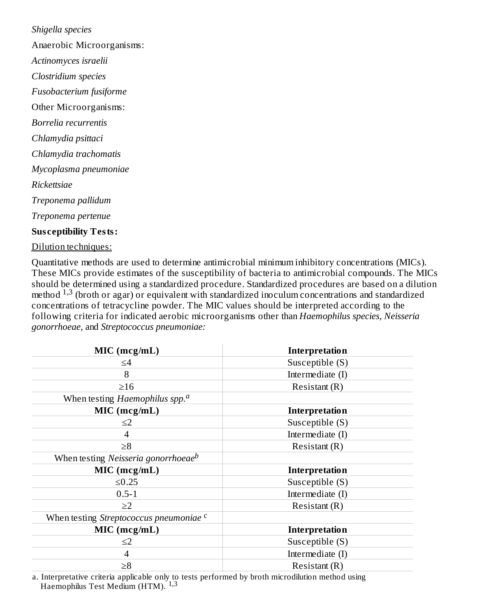*Shigella species* Anaerobic Microorganisms: *Actinomyces israelii Clostridium species Fusobacterium fusiforme* Other Microorganisms: *Borrelia recurrentis Chlamydia psittaci Chlamydia trachomatis Mycoplasma pneumoniae Rickettsiae Treponema pallidum Treponema pertenue* **Sus ceptibility Tests:**

# Dilution techniques:

Quantitative methods are used to determine antimicrobial minimum inhibitory concentrations (MICs). These MICs provide estimates of the susceptibility of bacteria to antimicrobial compounds. The MICs should be determined using a standardized procedure. Standardized procedures are based on a dilution method  $^{1,3}$  (broth or agar) or equivalent with standardized inoculum concentrations and standardized concentrations of tetracycline powder. The MIC values should be interpreted according to the following criteria for indicated aerobic microorganisms other than *Haemophilus species, Neisseria gonorrhoeae,* and *Streptococcus pneumoniae:*

| MIC (mcg/mL)                                       | Interpretation   |
|----------------------------------------------------|------------------|
| ≤4                                                 | Susceptible (S)  |
| 8                                                  | Intermediate (I) |
| $\geq 16$                                          | Resistant (R)    |
| When testing Haemophilus spp. <sup>a</sup>         |                  |
| MIC (mcg/mL)                                       | Interpretation   |
| $\leq$                                             | Susceptible (S)  |
| 4                                                  | Intermediate (I) |
| $\geq 8$                                           | Resistant (R)    |
| When testing Neisseria gonorrhoeae <sup>b</sup>    |                  |
| $MIC$ (mcg/mL)                                     | Interpretation   |
| $≤0.25$                                            | Susceptible (S)  |
| $0.5 - 1$                                          | Intermediate (I) |
| $\geq$ 2                                           | Resistant (R)    |
| When testing Streptococcus pneumoniae <sup>c</sup> |                  |
| $MIC$ (mcg/mL)                                     | Interpretation   |
| $\leq$ 2                                           | Susceptible (S)  |
| 4                                                  | Intermediate (I) |
| $\geq 8$                                           | Resistant (R)    |

a. Interpretative criteria applicable only to tests performed by broth microdilution method using Haemophilus Test Medium (HTM). 1,3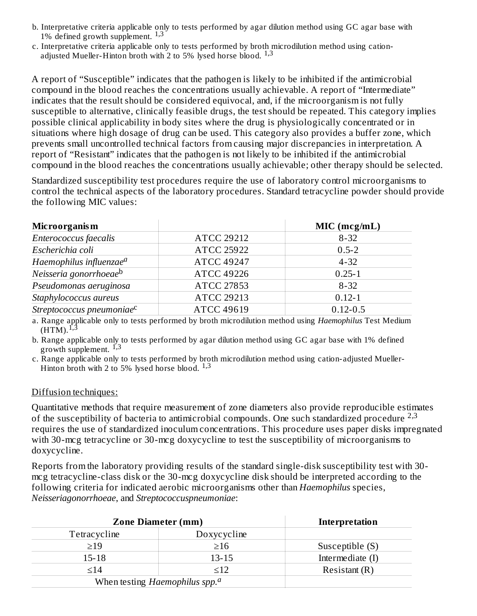- b. Interpretative criteria applicable only to tests performed by agar dilution method using GC agar base with 1% defined growth supplement. 1,3
- c. Interpretative criteria applicable only to tests performed by broth microdilution method using cationadjusted Mueller-Hinton broth with 2 to 5% lysed horse blood.  $^{1,3}$

A report of "Susceptible" indicates that the pathogen is likely to be inhibited if the antimicrobial compound in the blood reaches the concentrations usually achievable. A report of "Intermediate" indicates that the result should be considered equivocal, and, if the microorganism is not fully susceptible to alternative, clinically feasible drugs, the test should be repeated. This category implies possible clinical applicability in body sites where the drug is physiologically concentrated or in situations where high dosage of drug can be used. This category also provides a buffer zone, which prevents small uncontrolled technical factors from causing major discrepancies in interpretation. A report of "Resistant" indicates that the pathogen is not likely to be inhibited if the antimicrobial compound in the blood reaches the concentrations usually achievable; other therapy should be selected.

Standardized susceptibility test procedures require the use of laboratory control microorganisms to control the technical aspects of the laboratory procedures. Standard tetracycline powder should provide the following MIC values:

| Microorganism                         |                   | $MIC$ (mcg/mL) |
|---------------------------------------|-------------------|----------------|
| Enterococcus faecalis                 | <b>ATCC 29212</b> | $8 - 32$       |
| Escherichia coli                      | <b>ATCC 25922</b> | $0.5 - 2$      |
| Haemophilus influenzae <sup>a</sup>   | <b>ATCC 49247</b> | $4 - 32$       |
| Neisseria gonorrhoeae <sup>b</sup>    | <b>ATCC 49226</b> | $0.25 - 1$     |
| Pseudomonas aeruginosa                | <b>ATCC 27853</b> | $8 - 32$       |
| Staphylococcus aureus                 | <b>ATCC 29213</b> | $0.12 - 1$     |
| Streptococcus pneumoniae <sup>c</sup> | <b>ATCC 49619</b> | $0.12 - 0.5$   |

a. Range applicable only to tests performed by broth microdilution method using *Haemophilus* Test Medium  $(HTM).^{1,3}$ 

b. Range applicable only to tests performed by agar dilution method using GC agar base with 1% defined growth supplement.  $1,3$ 

c. Range applicable only to tests performed by broth microdilution method using cation-adjusted Mueller-Hinton broth with 2 to 5% lysed horse blood.  $1,3$ 

#### Diffusion techniques:

Quantitative methods that require measurement of zone diameters also provide reproducible estimates of the susceptibility of bacteria to antimicrobial compounds. One such standardized procedure <sup>2,3</sup> requires the use of standardized inoculum concentrations. This procedure uses paper disks impregnated with 30-mcg tetracycline or 30-mcg doxycycline to test the susceptibility of microorganisms to doxycycline.

Reports from the laboratory providing results of the standard single-disk susceptibility test with 30 mcg tetracycline-class disk or the 30-mcg doxycycline disk should be interpreted according to the following criteria for indicated aerobic microorganisms other than *Haemophilus* species, *Neisseriagonorrhoeae*, and *Streptococcuspneumoniae*:

| <b>Zone Diameter (mm)</b>                         | Interpretation |                  |
|---------------------------------------------------|----------------|------------------|
| Tetracycline                                      | Doxycycline    |                  |
| $\geq$ 19                                         | $\geq 16$      | Susceptible (S)  |
| $15 - 18$                                         | $13 - 15$      | Intermediate (I) |
| $\leq$ 14                                         | <12            | Resistant $(R)$  |
| When testing Haemophilus spp. <sup><i>a</i></sup> |                |                  |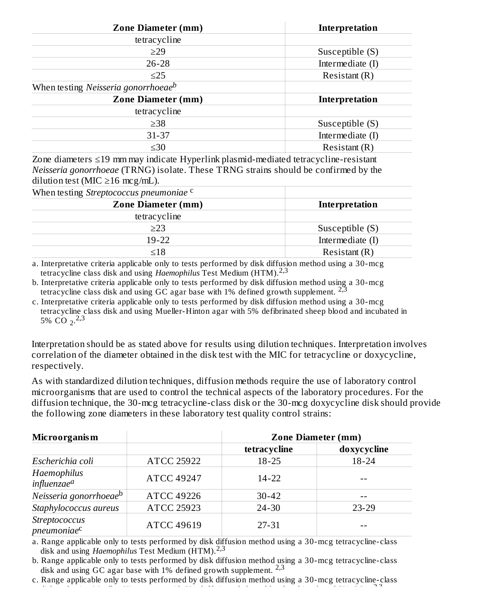| <b>Zone Diameter (mm)</b>                       | Interpretation   |  |  |
|-------------------------------------------------|------------------|--|--|
| tetracycline                                    |                  |  |  |
| $\geq$ 29                                       | Susceptible (S)  |  |  |
| $26 - 28$                                       | Intermediate (I) |  |  |
| $\leq$ 25                                       | Resistant (R)    |  |  |
| When testing Neisseria gonorrhoeae <sup>b</sup> |                  |  |  |
| <b>Zone Diameter (mm)</b>                       | Interpretation   |  |  |
| tetracycline                                    |                  |  |  |
| $\geq$ 38                                       | Susceptible (S)  |  |  |
| 31-37                                           | Intermediate (I) |  |  |
| $\leq 30$                                       | Resistant (R)    |  |  |

Zone diameters ≤19 mm may indicate Hyperlink plasmid-mediated tetracycline-resistant *Neisseria gonorrhoeae* (TRNG) isolate. These TRNG strains should be confirmed by the dilution test (MIC  $\geq$ 16 mcg/mL).

| When testing Streptococcus pneumoniae <sup>c</sup> |                  |
|----------------------------------------------------|------------------|
| <b>Zone Diameter (mm)</b>                          | Interpretation   |
| tetracycline                                       |                  |
| >23                                                | Susceptible (S)  |
| $19 - 22$                                          | Intermediate (I) |
| $<$ 18                                             | Resistant $(R)$  |

a. Interpretative criteria applicable only to tests performed by disk diffusion method using a 30-mcg tetracycline class disk and using *Haemophilus* Test Medium (HTM). 2,3

b. Interpretative criteria applicable only to tests performed by disk diffusion method using a 30-mcg tetracycline class disk and using GC agar base with 1% defined growth supplement.  $2.3$ 

c. Interpretative criteria applicable only to tests performed by disk diffusion method using a 30-mcg tetracycline class disk and using Mueller-Hinton agar with 5% defibrinated sheep blood and incubated in 5% CO  $2^{2,3}$ 

Interpretation should be as stated above for results using dilution techniques. Interpretation involves correlation of the diameter obtained in the disk test with the MIC for tetracycline or doxycycline, respectively.

As with standardized dilution techniques, diffusion methods require the use of laboratory control microorganisms that are used to control the technical aspects of the laboratory procedures. For the diffusion technique, the 30-mcg tetracycline-class disk or the 30-mcg doxycycline disk should provide the following zone diameters in these laboratory test quality control strains:

| Microorganism                            |                   | <b>Zone Diameter (mm)</b> |             |  |
|------------------------------------------|-------------------|---------------------------|-------------|--|
|                                          |                   | tetracycline              | doxycycline |  |
| Escherichia coli                         | <b>ATCC 25922</b> | $18 - 25$                 | $18 - 24$   |  |
| Haemophilus<br>influenzae <sup>a</sup>   | <b>ATCC 49247</b> | $14 - 22$                 |             |  |
| Neisseria gonorrhoeae <sup>b</sup>       | <b>ATCC 49226</b> | $30 - 42$                 |             |  |
| Staphylococcus aureus                    | <b>ATCC 25923</b> | $24 - 30$                 | 23-29       |  |
| Streptococcus<br>pneumoniae <sup>c</sup> | <b>ATCC 49619</b> | 27-31                     |             |  |

a. Range applicable only to tests performed by disk diffusion method using a 30-mcg tetracycline-class disk and using *Haemophilus* Test Medium (HTM). 2,3

b. Range applicable only to tests performed by disk diffusion method using a 30-mcg tetracycline-class disk and using GC agar base with 1% defined growth supplement. <sup>2,3</sup>

c. Range applicable only to tests performed by disk diffusion method using a 30-mcg tetracycline-class  $\overline{2}$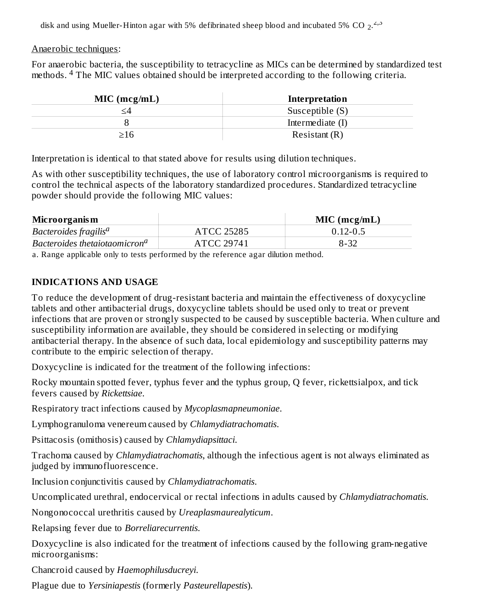disk and using Mueller-Hinton agar with 5% defibrinated sheep blood and incubated 5% CO  $_2$ .<sup>2,3</sup>

#### Anaerobic techniques:

For anaerobic bacteria, the susceptibility to tetracycline as MICs can be determined by standardized test methods. <sup>4</sup> The MIC values obtained should be interpreted according to the following criteria.

| MIC (mcg/mL) | Interpretation   |
|--------------|------------------|
| $\leq 4$     | Susceptible (S)  |
|              | Intermediate (I) |
| >16          | Resistant (R)    |

Interpretation is identical to that stated above for results using dilution techniques.

As with other susceptibility techniques, the use of laboratory control microorganisms is required to control the technical aspects of the laboratory standardized procedures. Standardized tetracycline powder should provide the following MIC values:

| Microorganism                             |                   | $MIC$ (mcg/mL) |
|-------------------------------------------|-------------------|----------------|
| Bacteroides fragilis <sup>a</sup>         | <b>ATCC 25285</b> | $0.12 - 0.5$   |
| Bacteroides thetaiotaomicron <sup>a</sup> | ATCC 29741        | 8-32           |

a. Range applicable only to tests performed by the reference agar dilution method.

#### **INDICATIONS AND USAGE**

To reduce the development of drug-resistant bacteria and maintain the effectiveness of doxycycline tablets and other antibacterial drugs, doxycycline tablets should be used only to treat or prevent infections that are proven or strongly suspected to be caused by susceptible bacteria. When culture and susceptibility information are available, they should be considered in selecting or modifying antibacterial therapy. In the absence of such data, local epidemiology and susceptibility patterns may contribute to the empiric selection of therapy.

Doxycycline is indicated for the treatment of the following infections:

Rocky mountain spotted fever, typhus fever and the typhus group, Q fever, rickettsialpox, and tick fevers caused by *Rickettsiae*.

Respiratory tract infections caused by *Mycoplasmapneumoniae*.

Lymphogranuloma venereum caused by *Chlamydiatrachomatis*.

Psittacosis (omithosis) caused by *Chlamydiapsittaci*.

Trachoma caused by *Chlamydiatrachomatis*, although the infectious agent is not always eliminated as judged by immunofluorescence.

Inclusion conjunctivitis caused by *Chlamydiatrachomatis*.

Uncomplicated urethral, endocervical or rectal infections in adults caused by *Chlamydiatrachomatis*.

Nongonococcal urethritis caused by *Ureaplasmaurealyticum*.

Relapsing fever due to *Borreliarecurrentis*.

Doxycycline is also indicated for the treatment of infections caused by the following gram-negative microorganisms:

Chancroid caused by *Haemophilusducreyi*.

Plague due to *Yersiniapestis* (formerly *Pasteurellapestis*).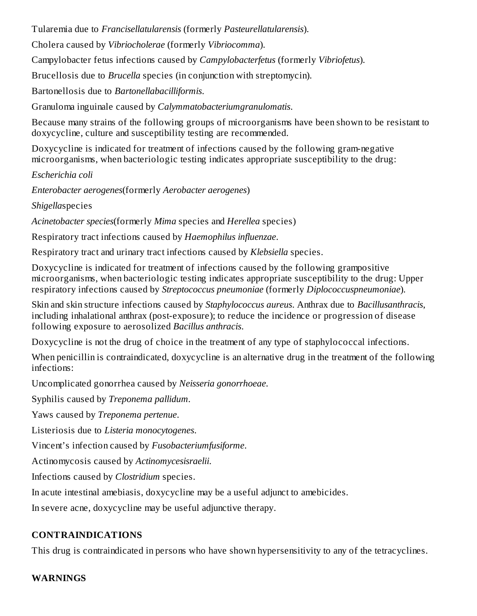Tularemia due to *Francisellatularensis* (formerly *Pasteurellatularensis*).

Cholera caused by *Vibriocholerae* (formerly *Vibriocomma*).

Campylobacter fetus infections caused by *Campylobacterfetus* (formerly *Vibriofetus*).

Brucellosis due to *Brucella* species (in conjunction with streptomycin).

Bartonellosis due to *Bartonellabacilliformis*.

Granuloma inguinale caused by *Calymmatobacteriumgranulomatis*.

Because many strains of the following groups of microorganisms have been shown to be resistant to doxycycline, culture and susceptibility testing are recommended.

Doxycycline is indicated for treatment of infections caused by the following gram-negative microorganisms, when bacteriologic testing indicates appropriate susceptibility to the drug:

*Escherichia coli*

*Enterobacter aerogenes*(formerly *Aerobacter aerogenes*)

*Shigella*species

*Acinetobacter species*(formerly *Mima* species and *Herellea* species)

Respiratory tract infections caused by *Haemophilus influenzae*.

Respiratory tract and urinary tract infections caused by *Klebsiella* species.

Doxycycline is indicated for treatment of infections caused by the following grampositive microorganisms, when bacteriologic testing indicates appropriate susceptibility to the drug: Upper respiratory infections caused by *Streptococcus pneumoniae* (formerly *Diplococcuspneumoniae*).

Skin and skin structure infections caused by *Staphylococcus aureus*. Anthrax due to *Bacillusanthracis*, including inhalational anthrax (post-exposure); to reduce the incidence or progression of disease following exposure to aerosolized *Bacillus anthracis*.

Doxycycline is not the drug of choice in the treatment of any type of staphylococcal infections.

When penicillin is contraindicated, doxycycline is an alternative drug in the treatment of the following infections:

Uncomplicated gonorrhea caused by *Neisseria gonorrhoeae*.

Syphilis caused by *Treponema pallidum*.

Yaws caused by *Treponema pertenue*.

Listeriosis due to *Listeria monocytogenes*.

Vincent's infection caused by *Fusobacteriumfusiforme*.

Actinomycosis caused by *Actinomycesisraelii*.

Infections caused by *Clostridium* species.

In acute intestinal amebiasis, doxycycline may be a useful adjunct to amebicides.

In severe acne, doxycycline may be useful adjunctive therapy.

### **CONTRAINDICATIONS**

This drug is contraindicated in persons who have shown hypersensitivity to any of the tetracyclines.

#### **WARNINGS**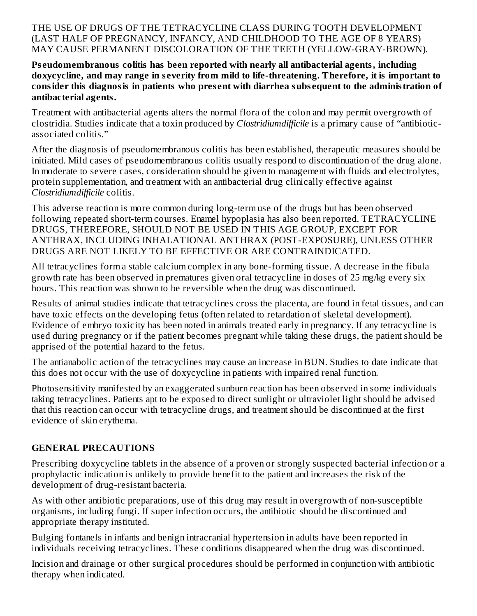#### THE USE OF DRUGS OF THE TETRACYCLINE CLASS DURING TOOTH DEVELOPMENT (LAST HALF OF PREGNANCY, INFANCY, AND CHILDHOOD TO THE AGE OF 8 YEARS) MAY CAUSE PERMANENT DISCOLORATION OF THE TEETH (YELLOW-GRAY-BROWN).

**Ps eudomembranous colitis has been reported with nearly all antibacterial agents, including doxycycline, and may range in s everity from mild to life-threatening. Therefore, it is important to consider this diagnosis in patients who pres ent with diarrhea subs equent to the administration of antibacterial agents.**

Treatment with antibacterial agents alters the normal flora of the colon and may permit overgrowth of clostridia. Studies indicate that a toxin produced by *Clostridiumdifficile* is a primary cause of "antibioticassociated colitis."

After the diagnosis of pseudomembranous colitis has been established, therapeutic measures should be initiated. Mild cases of pseudomembranous colitis usually respond to discontinuation of the drug alone. In moderate to severe cases, consideration should be given to management with fluids and electrolytes, protein supplementation, and treatment with an antibacterial drug clinically effective against *Clostridiumdifficile* colitis.

This adverse reaction is more common during long-term use of the drugs but has been observed following repeated short-term courses. Enamel hypoplasia has also been reported. TETRACYCLINE DRUGS, THEREFORE, SHOULD NOT BE USED IN THIS AGE GROUP, EXCEPT FOR ANTHRAX, INCLUDING INHALATIONAL ANTHRAX (POST-EXPOSURE), UNLESS OTHER DRUGS ARE NOT LIKELY TO BE EFFECTIVE OR ARE CONTRAINDICATED.

All tetracyclines form a stable calcium complex in any bone-forming tissue. A decrease in the fibula growth rate has been observed in prematures given oral tetracycline in doses of 25 mg/kg every six hours. This reaction was shown to be reversible when the drug was discontinued.

Results of animal studies indicate that tetracyclines cross the placenta, are found in fetal tissues, and can have toxic effects on the developing fetus (often related to retardation of skeletal development). Evidence of embryo toxicity has been noted in animals treated early in pregnancy. If any tetracycline is used during pregnancy or if the patient becomes pregnant while taking these drugs, the patient should be apprised of the potential hazard to the fetus.

The antianabolic action of the tetracyclines may cause an increase in BUN. Studies to date indicate that this does not occur with the use of doxycycline in patients with impaired renal function.

Photosensitivity manifested by an exaggerated sunburn reaction has been observed in some individuals taking tetracyclines. Patients apt to be exposed to direct sunlight or ultraviolet light should be advised that this reaction can occur with tetracycline drugs, and treatment should be discontinued at the first evidence of skin erythema.

### **GENERAL PRECAUTIONS**

Prescribing doxycycline tablets in the absence of a proven or strongly suspected bacterial infection or a prophylactic indication is unlikely to provide benefit to the patient and increases the risk of the development of drug-resistant bacteria.

As with other antibiotic preparations, use of this drug may result in overgrowth of non-susceptible organisms, including fungi. If super infection occurs, the antibiotic should be discontinued and appropriate therapy instituted.

Bulging fontanels in infants and benign intracranial hypertension in adults have been reported in individuals receiving tetracyclines. These conditions disappeared when the drug was discontinued.

Incision and drainage or other surgical procedures should be performed in conjunction with antibiotic therapy when indicated.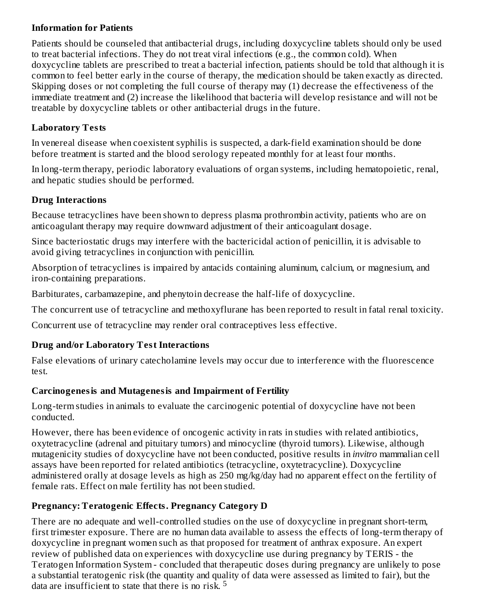### **Information for Patients**

Patients should be counseled that antibacterial drugs, including doxycycline tablets should only be used to treat bacterial infections. They do not treat viral infections (e.g., the common cold). When doxycycline tablets are prescribed to treat a bacterial infection, patients should be told that although it is common to feel better early in the course of therapy, the medication should be taken exactly as directed. Skipping doses or not completing the full course of therapy may (1) decrease the effectiveness of the immediate treatment and (2) increase the likelihood that bacteria will develop resistance and will not be treatable by doxycycline tablets or other antibacterial drugs in the future.

### **Laboratory Tests**

In venereal disease when coexistent syphilis is suspected, a dark-field examination should be done before treatment is started and the blood serology repeated monthly for at least four months.

In long-term therapy, periodic laboratory evaluations of organ systems, including hematopoietic, renal, and hepatic studies should be performed.

# **Drug Interactions**

Because tetracyclines have been shown to depress plasma prothrombin activity, patients who are on anticoagulant therapy may require downward adjustment of their anticoagulant dosage.

Since bacteriostatic drugs may interfere with the bactericidal action of penicillin, it is advisable to avoid giving tetracyclines in conjunction with penicillin.

Absorption of tetracyclines is impaired by antacids containing aluminum, calcium, or magnesium, and iron-containing preparations.

Barbiturates, carbamazepine, and phenytoin decrease the half-life of doxycycline.

The concurrent use of tetracycline and methoxyflurane has been reported to result in fatal renal toxicity.

Concurrent use of tetracycline may render oral contraceptives less effective.

# **Drug and/or Laboratory Test Interactions**

False elevations of urinary catecholamine levels may occur due to interference with the fluorescence test.

# **Carcinogenesis and Mutagenesis and Impairment of Fertility**

Long-term studies in animals to evaluate the carcinogenic potential of doxycycline have not been conducted.

However, there has been evidence of oncogenic activity in rats in studies with related antibiotics, oxytetracycline (adrenal and pituitary tumors) and minocycline (thyroid tumors). Likewise, although mutagenicity studies of doxycycline have not been conducted, positive results in *invitro* mammalian cell assays have been reported for related antibiotics (tetracycline, oxytetracycline). Doxycycline administered orally at dosage levels as high as 250 mg/kg/day had no apparent effect on the fertility of female rats. Effect on male fertility has not been studied.

# **Pregnancy: Teratogenic Effects. Pregnancy Category D**

There are no adequate and well-controlled studies on the use of doxycycline in pregnant short-term, first trimester exposure. There are no human data available to assess the effects of long-term therapy of doxycycline in pregnant women such as that proposed for treatment of anthrax exposure. An expert review of published data on experiences with doxycycline use during pregnancy by TERIS - the Teratogen Information System - concluded that therapeutic doses during pregnancy are unlikely to pose a substantial teratogenic risk (the quantity and quality of data were assessed as limited to fair), but the data are insufficient to state that there is no risk.<sup>5</sup>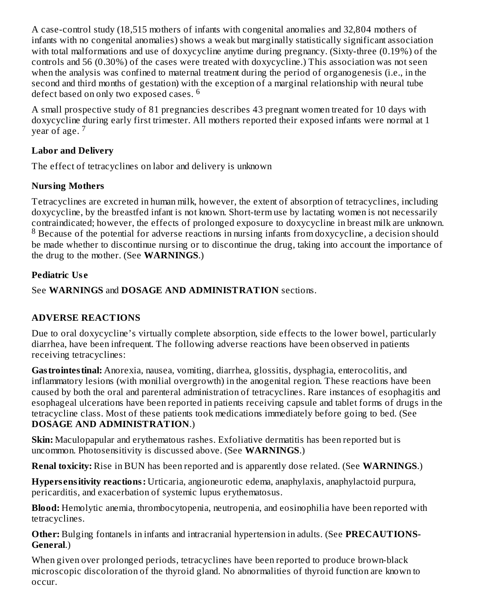A case-control study (18,515 mothers of infants with congenital anomalies and 32,804 mothers of infants with no congenital anomalies) shows a weak but marginally statistically significant association with total malformations and use of doxycycline anytime during pregnancy. (Sixty-three (0.19%) of the controls and 56 (0.30%) of the cases were treated with doxycycline.) This association was not seen when the analysis was confined to maternal treatment during the period of organogenesis (i.e., in the second and third months of gestation) with the exception of a marginal relationship with neural tube defect based on only two exposed cases.  $^6$ 

A small prospective study of 81 pregnancies describes 43 pregnant women treated for 10 days with doxycycline during early first trimester. All mothers reported their exposed infants were normal at 1 year of age. 7

# **Labor and Delivery**

The effect of tetracyclines on labor and delivery is unknown

# **Nursing Mothers**

Tetracyclines are excreted in human milk, however, the extent of absorption of tetracyclines, including doxycycline, by the breastfed infant is not known. Short-term use by lactating women is not necessarily contraindicated; however, the effects of prolonged exposure to doxycycline in breast milk are unknown. <sup>8</sup> Because of the potential for adverse reactions in nursing infants from doxycycline, a decision should be made whether to discontinue nursing or to discontinue the drug, taking into account the importance of the drug to the mother. (See **WARNINGS**.)

# **Pediatric Us e**

See **WARNINGS** and **DOSAGE AND ADMINISTRATION** sections.

# **ADVERSE REACTIONS**

Due to oral doxycycline's virtually complete absorption, side effects to the lower bowel, particularly diarrhea, have been infrequent. The following adverse reactions have been observed in patients receiving tetracyclines:

**Gastrointestinal:** Anorexia, nausea, vomiting, diarrhea, glossitis, dysphagia, enterocolitis, and inflammatory lesions (with monilial overgrowth) in the anogenital region. These reactions have been caused by both the oral and parenteral administration of tetracyclines. Rare instances of esophagitis and esophageal ulcerations have been reported in patients receiving capsule and tablet forms of drugs in the tetracycline class. Most of these patients took medications immediately before going to bed. (See **DOSAGE AND ADMINISTRATION**.)

**Skin:** Maculopapular and erythematous rashes. Exfoliative dermatitis has been reported but is uncommon. Photosensitivity is discussed above. (See **WARNINGS**.)

**Renal toxicity:** Rise in BUN has been reported and is apparently dose related. (See **WARNINGS**.)

**Hypers ensitivity reactions:** Urticaria, angioneurotic edema, anaphylaxis, anaphylactoid purpura, pericarditis, and exacerbation of systemic lupus erythematosus.

**Blood:** Hemolytic anemia, thrombocytopenia, neutropenia, and eosinophilia have been reported with tetracyclines.

**Other:** Bulging fontanels in infants and intracranial hypertension in adults. (See **PRECAUTIONS-General**.)

When given over prolonged periods, tetracyclines have been reported to produce brown-black microscopic discoloration of the thyroid gland. No abnormalities of thyroid function are known to occur.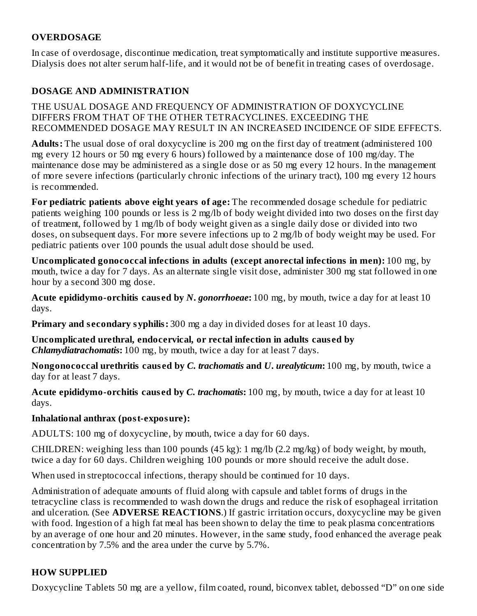# **OVERDOSAGE**

In case of overdosage, discontinue medication, treat symptomatically and institute supportive measures. Dialysis does not alter serum half-life, and it would not be of benefit in treating cases of overdosage.

### **DOSAGE AND ADMINISTRATION**

THE USUAL DOSAGE AND FREQUENCY OF ADMINISTRATION OF DOXYCYCLINE DIFFERS FROM THAT OF THE OTHER TETRACYCLINES. EXCEEDING THE RECOMMENDED DOSAGE MAY RESULT IN AN INCREASED INCIDENCE OF SIDE EFFECTS.

**Adults:** The usual dose of oral doxycycline is 200 mg on the first day of treatment (administered 100 mg every 12 hours or 50 mg every 6 hours) followed by a maintenance dose of 100 mg/day. The maintenance dose may be administered as a single dose or as 50 mg every 12 hours. In the management of more severe infections (particularly chronic infections of the urinary tract), 100 mg every 12 hours is recommended.

**For pediatric patients above eight years of age:** The recommended dosage schedule for pediatric patients weighing 100 pounds or less is 2 mg/lb of body weight divided into two doses on the first day of treatment, followed by 1 mg/lb of body weight given as a single daily dose or divided into two doses, on subsequent days. For more severe infections up to 2 mg/lb of body weight may be used. For pediatric patients over 100 pounds the usual adult dose should be used.

**Uncomplicated gonococcal infections in adults (except anorectal infections in men):** 100 mg, by mouth, twice a day for 7 days. As an alternate single visit dose, administer 300 mg stat followed in one hour by a second 300 mg dose.

**Acute epididymo-orchitis caus ed by** *N***.** *gonorrhoeae***:** 100 mg, by mouth, twice a day for at least 10 days.

**Primary and s econdary syphilis:** 300 mg a day in divided doses for at least 10 days.

**Uncomplicated urethral, endocervical, or rectal infection in adults caus ed by** *Chlamydiatrachomatis***:** 100 mg, by mouth, twice a day for at least 7 days.

**Nongonococcal urethritis caus ed by** *C. trachomatis* **and** *U***.** *urealyticum***:** 100 mg, by mouth, twice a day for at least 7 days.

**Acute epididymo-orchitis caus ed by** *C. trachomatis***:** 100 mg, by mouth, twice a day for at least 10 days.

### **Inhalational anthrax (post-exposure):**

ADULTS: 100 mg of doxycycline, by mouth, twice a day for 60 days.

CHILDREN: weighing less than 100 pounds (45 kg): 1 mg/lb (2.2 mg/kg) of body weight, by mouth, twice a day for 60 days. Children weighing 100 pounds or more should receive the adult dose.

When used in streptococcal infections, therapy should be continued for 10 days.

Administration of adequate amounts of fluid along with capsule and tablet forms of drugs in the tetracycline class is recommended to wash down the drugs and reduce the risk of esophageal irritation and ulceration. (See **ADVERSE REACTIONS**.) If gastric irritation occurs, doxycycline may be given with food. Ingestion of a high fat meal has been shown to delay the time to peak plasma concentrations by an average of one hour and 20 minutes. However, in the same study, food enhanced the average peak concentration by 7.5% and the area under the curve by 5.7%.

### **HOW SUPPLIED**

Doxycycline Tablets 50 mg are a yellow, film coated, round, biconvex tablet, debossed "D" on one side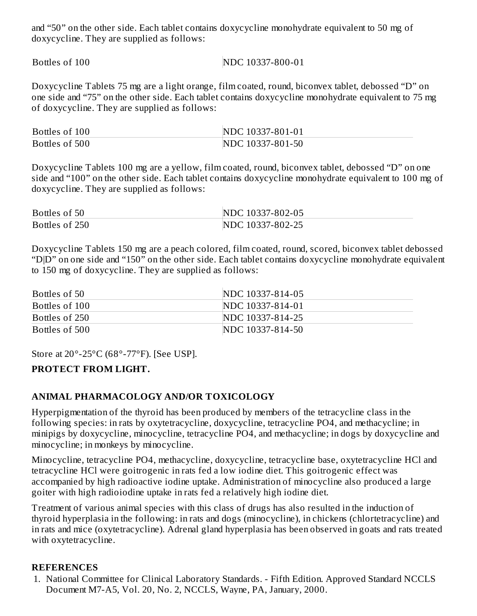and "50" on the other side. Each tablet contains doxycycline monohydrate equivalent to 50 mg of doxycycline. They are supplied as follows:

Bottles of 100 NDC 10337-800-01

Doxycycline Tablets 75 mg are a light orange, film coated, round, biconvex tablet, debossed "D" on one side and "75" on the other side. Each tablet contains doxycycline monohydrate equivalent to 75 mg of doxycycline. They are supplied as follows:

| Bottles of 100 | NDC 10337-801-01 |
|----------------|------------------|
| Bottles of 500 | NDC 10337-801-50 |

Doxycycline Tablets 100 mg are a yellow, film coated, round, biconvex tablet, debossed "D" on one side and "100" on the other side. Each tablet contains doxycycline monohydrate equivalent to 100 mg of doxycycline. They are supplied as follows:

| Bottles of 50  | NDC 10337-802-05 |
|----------------|------------------|
| Bottles of 250 | NDC 10337-802-25 |

Doxycycline Tablets 150 mg are a peach colored, film coated, round, scored, biconvex tablet debossed "D|D" on one side and "150" on the other side. Each tablet contains doxycycline monohydrate equivalent to 150 mg of doxycycline. They are supplied as follows:

| Bottles of 50  | NDC 10337-814-05         |
|----------------|--------------------------|
| Bottles of 100 | <b>INDC 10337-814-01</b> |
| Bottles of 250 | NDC 10337-814-25         |
| Bottles of 500 | NDC 10337-814-50         |

Store at 20°-25°C (68°-77°F). [See USP].

#### **PROTECT FROM LIGHT.**

### **ANIMAL PHARMACOLOGY AND/OR TOXICOLOGY**

Hyperpigmentation of the thyroid has been produced by members of the tetracycline class in the following species: in rats by oxytetracycline, doxycycline, tetracycline PO4, and methacycline; in minipigs by doxycycline, minocycline, tetracycline PO4, and methacycline; in dogs by doxycycline and minocycline; in monkeys by minocycline.

Minocycline, tetracycline PO4, methacycline, doxycycline, tetracycline base, oxytetracycline HCl and tetracycline HCl were goitrogenic in rats fed a low iodine diet. This goitrogenic effect was accompanied by high radioactive iodine uptake. Administration of minocycline also produced a large goiter with high radioiodine uptake in rats fed a relatively high iodine diet.

Treatment of various animal species with this class of drugs has also resulted in the induction of thyroid hyperplasia in the following: in rats and dogs (minocycline), in chickens (chlortetracycline) and in rats and mice (oxytetracycline). Adrenal gland hyperplasia has been observed in goats and rats treated with oxytetracycline.

#### **REFERENCES**

1. National Committee for Clinical Laboratory Standards. - Fifth Edition. Approved Standard NCCLS Document M7-A5, Vol. 20, No. 2, NCCLS, Wayne, PA, January, 2000.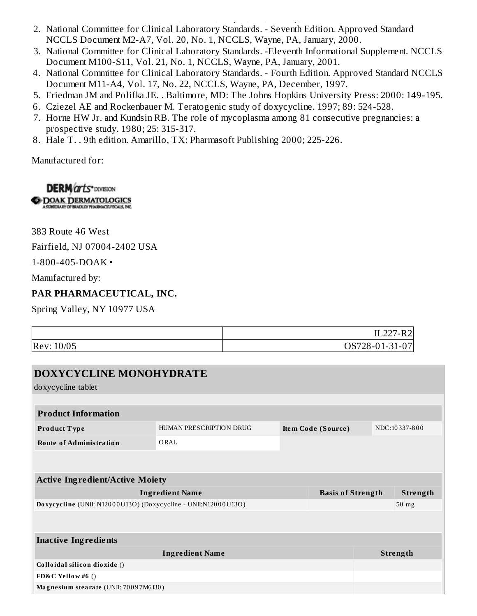- 2. National Committee for Clinical Laboratory Standards. Seventh Edition. Approved Standard NCCLS Document M2-A7, Vol. 20, No. 1, NCCLS, Wayne, PA, January, 2000.
- 3. National Committee for Clinical Laboratory Standards. -Eleventh Informational Supplement. NCCLS Document M100-S11, Vol. 21, No. 1, NCCLS, Wayne, PA, January, 2001.
- 4. National Committee for Clinical Laboratory Standards. Fourth Edition. Approved Standard NCCLS Document M11-A4, Vol. 17, No. 22, NCCLS, Wayne, PA, December, 1997.
- 5. Friedman JM and Polifka JE. . Baltimore, MD: The Johns Hopkins University Press: 2000: 149-195.
- 6. Cziezel AE and Rockenbauer M. Teratogenic study of doxycycline. 1997; 89: 524-528.
- 7. Horne HW Jr. and Kundsin RB. The role of mycoplasma among 81 consecutive pregnancies: a prospective study. 1980; 25: 315-317.
- 8. Hale T. . 9th edition. Amarillo, TX: Pharmasoft Publishing 2000; 225-226.

Document M7-A5, Vol. 20, No. 2, NCCLS, Wayne, PA, January, 2000.

Manufactured for:

# **DERMarts** DIVISION **O DOAK DERMATOLOGICS**

383 Route 46 West

Fairfield, NJ 07004-2402 USA

1-800-405-DOAK •

Manufactured by:

### **PAR PHARMACEUTICAL, INC.**

Spring Valley, NY 10977 USA

|              | II $227$<br>R2                                                   |
|--------------|------------------------------------------------------------------|
| 0/05<br>Rev: | $6 - 01$<br>$\cap$ C770<br>$\sim$ $-1$<br>$1 - 31 - 1$<br>ப<br>້ |

| DOXYCYCLINE MONOHYDRATE<br><b>Product Information</b><br><b>HUMAN PRESCRIPTION DRUG</b><br>NDC:10337-800<br>Item Code (Source)<br>Product Type<br>ORAL<br><b>Route of Administration</b><br><b>Active Ingredient/Active Moiety</b><br><b>Ingredient Name</b><br><b>Basis of Strength</b><br>Strength<br>Doxycycline (UNII: N12000U13O) (Doxycycline - UNII:N12000U13O)<br>$50$ mg<br><b>Inactive Ingredients</b><br><b>Ingredient Name</b><br>Strength<br>Colloidal silicon dioxide ()<br>FD&C Yellow #6 $()$<br>Magnesium stearate (UNII: 70097M6I30) |                    |  |  |  |
|--------------------------------------------------------------------------------------------------------------------------------------------------------------------------------------------------------------------------------------------------------------------------------------------------------------------------------------------------------------------------------------------------------------------------------------------------------------------------------------------------------------------------------------------------------|--------------------|--|--|--|
|                                                                                                                                                                                                                                                                                                                                                                                                                                                                                                                                                        | doxycycline tablet |  |  |  |
|                                                                                                                                                                                                                                                                                                                                                                                                                                                                                                                                                        |                    |  |  |  |
|                                                                                                                                                                                                                                                                                                                                                                                                                                                                                                                                                        |                    |  |  |  |
|                                                                                                                                                                                                                                                                                                                                                                                                                                                                                                                                                        |                    |  |  |  |
|                                                                                                                                                                                                                                                                                                                                                                                                                                                                                                                                                        |                    |  |  |  |
|                                                                                                                                                                                                                                                                                                                                                                                                                                                                                                                                                        |                    |  |  |  |
|                                                                                                                                                                                                                                                                                                                                                                                                                                                                                                                                                        |                    |  |  |  |
|                                                                                                                                                                                                                                                                                                                                                                                                                                                                                                                                                        |                    |  |  |  |
|                                                                                                                                                                                                                                                                                                                                                                                                                                                                                                                                                        |                    |  |  |  |
|                                                                                                                                                                                                                                                                                                                                                                                                                                                                                                                                                        |                    |  |  |  |
|                                                                                                                                                                                                                                                                                                                                                                                                                                                                                                                                                        |                    |  |  |  |
|                                                                                                                                                                                                                                                                                                                                                                                                                                                                                                                                                        |                    |  |  |  |
|                                                                                                                                                                                                                                                                                                                                                                                                                                                                                                                                                        |                    |  |  |  |
|                                                                                                                                                                                                                                                                                                                                                                                                                                                                                                                                                        |                    |  |  |  |
|                                                                                                                                                                                                                                                                                                                                                                                                                                                                                                                                                        |                    |  |  |  |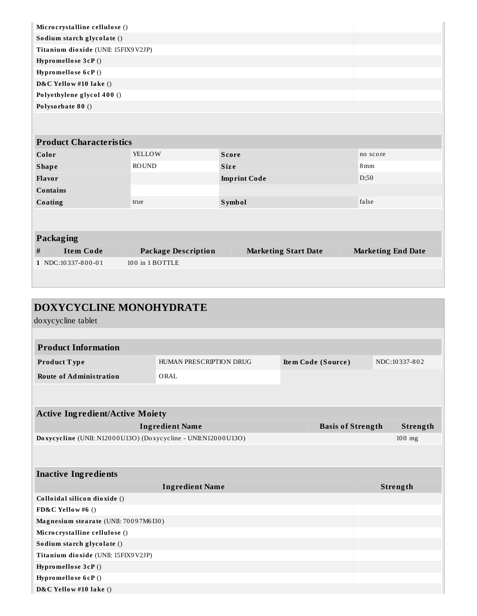| Microcrystalline cellulose ()       |                            |                             |                           |
|-------------------------------------|----------------------------|-----------------------------|---------------------------|
| Sodium starch glycolate ()          |                            |                             |                           |
| Titanium dioxide (UNII: 15FIX9V2JP) |                            |                             |                           |
| Hypromellose 3cP()                  |                            |                             |                           |
| Hypromellose 6cP()                  |                            |                             |                           |
| D&C Yellow #10 lake ()              |                            |                             |                           |
| Polyethylene glycol 400 ()          |                            |                             |                           |
| Polysorbate 80 ()                   |                            |                             |                           |
|                                     |                            |                             |                           |
| <b>Product Characteristics</b>      |                            |                             |                           |
| Color                               | <b>YELLOW</b>              | <b>Score</b>                | no score                  |
| <b>Shape</b>                        | <b>ROUND</b>               | <b>Size</b>                 | 8mm                       |
| Flavor                              |                            | <b>Imprint Code</b>         | D:50                      |
| <b>Contains</b>                     |                            |                             |                           |
| Coating                             | true                       | <b>Symbol</b>               | false                     |
|                                     |                            |                             |                           |
| Packaging                           |                            |                             |                           |
| $\#$<br><b>Item Code</b>            | <b>Package Description</b> | <b>Marketing Start Date</b> | <b>Marketing End Date</b> |
| 1 NDC:10337-800-01                  | 100 in 1 BOTTLE            |                             |                           |
|                                     |                            |                             |                           |

**Common** 

| <b>DOXYCYCLINE MONOHYDRATE</b><br>doxycycline tablet           |                         |                          |               |
|----------------------------------------------------------------|-------------------------|--------------------------|---------------|
|                                                                |                         |                          |               |
|                                                                |                         |                          |               |
| <b>Product Information</b>                                     |                         |                          |               |
| Product Type                                                   | HUMAN PRESCRIPTION DRUG | Item Code (Source)       | NDC:10337-802 |
| <b>Route of Administration</b>                                 | ORAL                    |                          |               |
|                                                                |                         |                          |               |
|                                                                |                         |                          |               |
| <b>Active Ingredient/Active Moiety</b>                         |                         |                          |               |
|                                                                | <b>Ingredient Name</b>  | <b>Basis of Strength</b> | Strength      |
| Doxycycline (UNII: N12000U13O) (Doxycycline - UNII:N12000U13O) |                         |                          | $100$ mg      |
|                                                                |                         |                          |               |
|                                                                |                         |                          |               |
| <b>Inactive Ingredients</b>                                    |                         |                          |               |
|                                                                | <b>Ingredient Name</b>  |                          | Strength      |
| Colloidal silicon dioxide ()                                   |                         |                          |               |
| FD&C Yellow #6 ()                                              |                         |                          |               |
| Magnesium stearate (UNII: 70097M6I30)                          |                         |                          |               |
| Microcrystalline cellulose ()                                  |                         |                          |               |
| Sodium starch glycolate ()                                     |                         |                          |               |
| Titanium dioxide (UNII: 15FIX9V2JP)                            |                         |                          |               |
| Hypromellose 3cP()                                             |                         |                          |               |
| Hypromellose 6cP()                                             |                         |                          |               |
| D&C Yellow #10 lake ()                                         |                         |                          |               |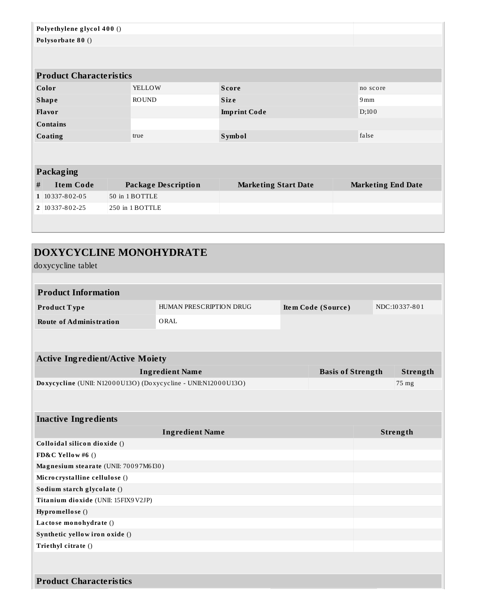| Polyethylene glycol 400 ()     |                         |                            |                             |  |                           |  |  |  |
|--------------------------------|-------------------------|----------------------------|-----------------------------|--|---------------------------|--|--|--|
| Polysorbate 80 ()              |                         |                            |                             |  |                           |  |  |  |
|                                |                         |                            |                             |  |                           |  |  |  |
| <b>Product Characteristics</b> |                         |                            |                             |  |                           |  |  |  |
| Color                          |                         | YELLOW                     | <b>Score</b>                |  | no score                  |  |  |  |
| <b>Shape</b>                   |                         | <b>ROUND</b>               | <b>Size</b>                 |  | 9mm                       |  |  |  |
| Flavor                         |                         |                            | <b>Imprint Code</b>         |  | D;100                     |  |  |  |
| <b>Contains</b>                |                         |                            |                             |  |                           |  |  |  |
| Coating                        |                         | true                       | <b>Symbol</b>               |  |                           |  |  |  |
|                                |                         |                            |                             |  |                           |  |  |  |
|                                |                         |                            |                             |  |                           |  |  |  |
| <b>Packaging</b>               |                         |                            |                             |  |                           |  |  |  |
| <b>Item Code</b><br>#          |                         | <b>Package Description</b> | <b>Marketing Start Date</b> |  | <b>Marketing End Date</b> |  |  |  |
| 1 10337-802-05                 |                         | 50 in 1 BOTTLE             |                             |  |                           |  |  |  |
| 2 10337-802-25                 |                         | 250 in 1 BOTTLE            |                             |  |                           |  |  |  |
|                                |                         |                            |                             |  |                           |  |  |  |
|                                |                         |                            |                             |  |                           |  |  |  |
|                                |                         |                            |                             |  |                           |  |  |  |
|                                | DOXYCYCLINE MONOHYDRATE |                            |                             |  |                           |  |  |  |

doxycycline tablet

#### **Product Information**

| Product Type            | HUMAN PRESCRIPTION DRUG | Item Code (Source) | NDC:10337-801 |
|-------------------------|-------------------------|--------------------|---------------|
| Route of Administration | ORAL                    |                    |               |

| <b>Active Ingredient/Active Moiety</b>                                       |                          |                 |  |  |  |  |
|------------------------------------------------------------------------------|--------------------------|-----------------|--|--|--|--|
| Ingredient Name                                                              | <b>Basis of Strength</b> | Strength        |  |  |  |  |
| <b>Doxycycline</b> (UNII: $N12000U13O$ ) (Doxycycline - UNII: $N12000U13O$ ) |                          | $75 \text{ mg}$ |  |  |  |  |

### **Inactive Ingredients Ingredient Name Strength Co llo ida l silico n dio xide** () **FD&C Yellow #6** () **Ma g nesium stea ra te** (UNII: 70 0 9 7M6 I30 ) **Micro crysta lline cellulo se** () **So dium sta rch g lyco la te** ()

**Tita nium dio xide** (UNII: 15FIX9V2JP) **Hypro mello se** () **La cto se mo no hydra te** ()

**Synthetic yellow iro n o xide** ()

**Triethyl citra te** ()

**Product Characteristics**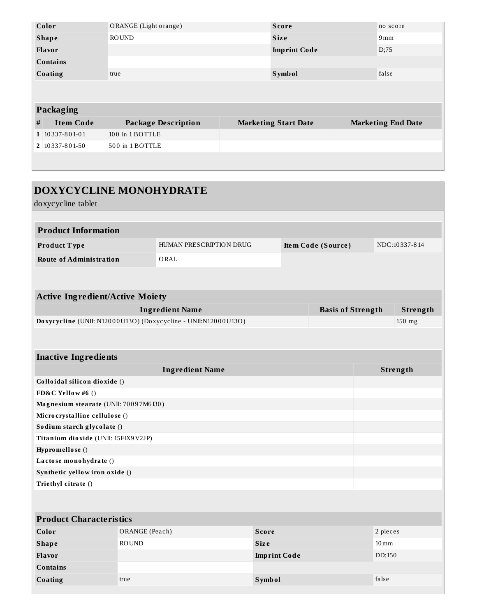|   | Color                     | ORANGE (Light orange)      | <b>Score</b>                | no score                  |
|---|---------------------------|----------------------------|-----------------------------|---------------------------|
|   | <b>Shape</b>              | ROUND                      | <b>Size</b>                 | 9mm                       |
|   | Flavor                    |                            | <b>Imprint Code</b>         | D;75                      |
|   | <b>Contains</b>           |                            |                             |                           |
|   | Coating                   | true                       | <b>Symbol</b>               | false                     |
|   |                           |                            |                             |                           |
|   |                           |                            |                             |                           |
|   | Packaging                 |                            |                             |                           |
| # | <b>Item Code</b>          | <b>Package Description</b> | <b>Marketing Start Date</b> | <b>Marketing End Date</b> |
|   | $1 \mid 10337 - 801 - 01$ | 100 in 1 BOTTLE            |                             |                           |
|   | 2 10337-801-50            | 500 in 1 BOTTLE            |                             |                           |
|   |                           |                            |                             |                           |
|   |                           |                            |                             |                           |

| <b>DOXYCYCLINE MONOHYDRATE</b>         |                |                                                                |                     |                          |                   |               |
|----------------------------------------|----------------|----------------------------------------------------------------|---------------------|--------------------------|-------------------|---------------|
|                                        |                |                                                                |                     |                          |                   |               |
| doxycycline tablet                     |                |                                                                |                     |                          |                   |               |
|                                        |                |                                                                |                     |                          |                   |               |
| <b>Product Information</b>             |                |                                                                |                     |                          |                   |               |
| Product Type                           |                | HUMAN PRESCRIPTION DRUG                                        |                     | Item Code (Source)       |                   | NDC:10337-814 |
| <b>Route of Administration</b>         |                | ORAL                                                           |                     |                          |                   |               |
|                                        |                |                                                                |                     |                          |                   |               |
|                                        |                |                                                                |                     |                          |                   |               |
| <b>Active Ingredient/Active Moiety</b> |                |                                                                |                     |                          |                   |               |
|                                        |                | <b>Ingredient Name</b>                                         |                     | <b>Basis of Strength</b> |                   | Strength      |
|                                        |                | Doxycycline (UNII: N12000U13O) (Doxycycline - UNII:N12000U13O) |                     |                          |                   | 150 mg        |
|                                        |                |                                                                |                     |                          |                   |               |
|                                        |                |                                                                |                     |                          |                   |               |
| <b>Inactive Ingredients</b>            |                |                                                                |                     |                          |                   |               |
|                                        |                | <b>Ingredient Name</b>                                         |                     |                          |                   | Strength      |
| Colloidal silicon dioxide ()           |                |                                                                |                     |                          |                   |               |
| FD&C Yellow #6 ()                      |                |                                                                |                     |                          |                   |               |
| Magnesium stearate (UNII: 70097M6I30)  |                |                                                                |                     |                          |                   |               |
| Microcrystalline cellulose ()          |                |                                                                |                     |                          |                   |               |
| Sodium starch glycolate ()             |                |                                                                |                     |                          |                   |               |
| Titanium dioxide (UNII: 15FIX9V2JP)    |                |                                                                |                     |                          |                   |               |
| Hypromellose ()                        |                |                                                                |                     |                          |                   |               |
| Lactose monohydrate ()                 |                |                                                                |                     |                          |                   |               |
| Synthetic yellow iron oxide ()         |                |                                                                |                     |                          |                   |               |
| Triethyl citrate ()                    |                |                                                                |                     |                          |                   |               |
|                                        |                |                                                                |                     |                          |                   |               |
|                                        |                |                                                                |                     |                          |                   |               |
| <b>Product Characteristics</b>         |                |                                                                |                     |                          |                   |               |
| Color                                  | ORANGE (Peach) |                                                                | <b>Score</b>        |                          |                   | 2 pieces      |
| <b>Shape</b>                           | <b>ROUND</b>   |                                                                | <b>Size</b>         |                          | $10\,\mathrm{mm}$ |               |
| Flavor                                 |                |                                                                | <b>Imprint Code</b> |                          | DD;150            |               |
| <b>Contains</b>                        |                |                                                                |                     |                          |                   |               |
| Coating                                | true           |                                                                | <b>Symbol</b>       |                          | ${\tt false}$     |               |
|                                        |                |                                                                |                     |                          |                   |               |